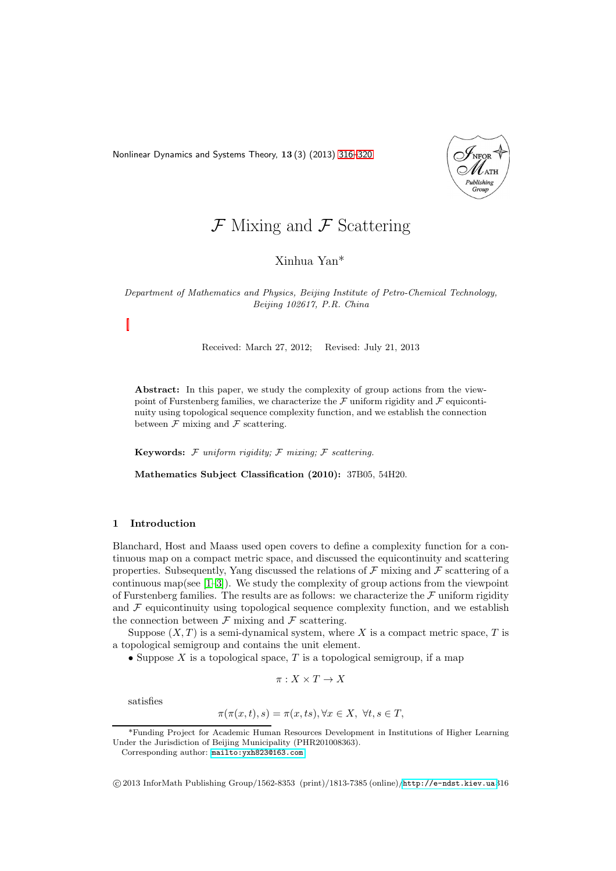<span id="page-0-0"></span>Nonlinear Dynamics and Systems Theory, 13 (3) (2013) [316–](#page-0-0)[320](#page-4-0)



# $\mathcal F$  Mixing and  $\mathcal F$  Scattering

Xinhua Yan\*

*Department of Mathematics and Physics, Beijing Institute of Petro-Chemical Technology, Beijing 102617, P.R. China*

Received: March 27, 2012; Revised: July 21, 2013

Abstract: In this paper, we study the complexity of group actions from the viewpoint of Furstenberg families, we characterize the  ${\mathcal F}$  uniform rigidity and  ${\mathcal F}$  equicontinuity using topological sequence complexity function, and we establish the connection between  $\mathcal F$  mixing and  $\mathcal F$  scattering.

Keywords: F *uniform rigidity;* F *mixing;* F *scattering.*

Mathematics Subject Classification (2010): 37B05, 54H20.

### 1 Introduction

Blanchard, Host and Maass used open covers to define a complexity function for a continuous map on a compact metric space, and discussed the equicontinuity and scattering properties. Subsequently, Yang discussed the relations of  $\mathcal F$  mixing and  $\mathcal F$  scattering of a continuous map(see  $[1-3]$ ). We study the complexity of group actions from the viewpoint of Furstenberg families. The results are as follows: we characterize the  $\mathcal F$  uniform rigidity and  $F$  equicontinuity using topological sequence complexity function, and we establish the connection between  $\mathcal F$  mixing and  $\mathcal F$  scattering.

Suppose  $(X, T)$  is a semi-dynamical system, where X is a compact metric space, T is a topological semigroup and contains the unit element.

• Suppose X is a topological space,  $T$  is a topological semigroup, if a map

$$
\pi: X \times T \to X
$$

satisfies

$$
\pi(\pi(x,t),s) = \pi(x,ts), \forall x \in X, \ \forall t, s \in T,
$$

\*Funding Project for Academic Human Resources Development in Institutions of Higher Learning Under the Jurisdiction of Beijing Municipality (PHR201008363).

c 2013 InforMath Publishing Group/1562-8353 (print)/1813-7385 (online)/<http://e-ndst.kiev.ua>316

Corresponding author: [mailto:yxh823@163.com](mailto: yxh823@163.com)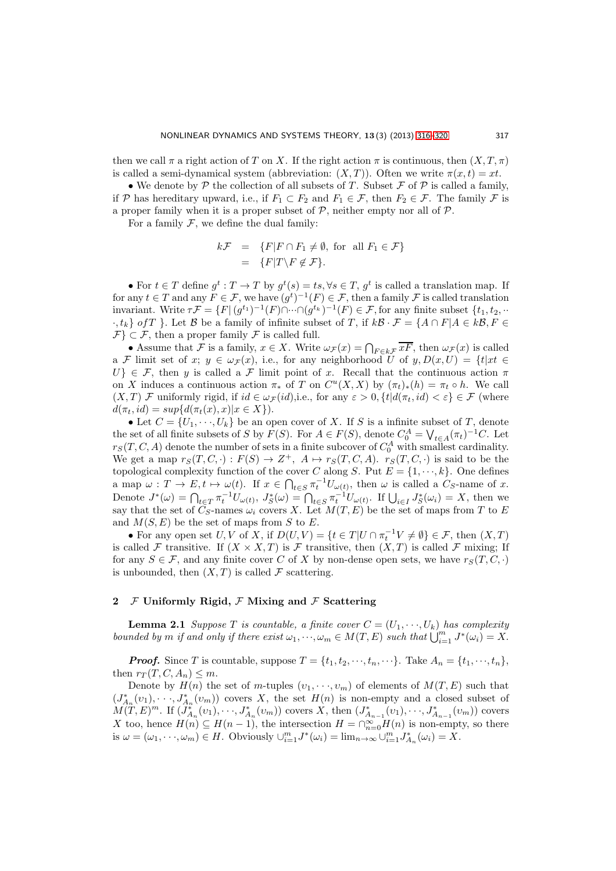then we call  $\pi$  a right action of T on X. If the right action  $\pi$  is continuous, then  $(X, T, \pi)$ is called a semi-dynamical system (abbreviation:  $(X, T)$ ). Often we write  $\pi(x, t) = xt$ .

• We denote by  $P$  the collection of all subsets of T. Subset  $\mathcal F$  of  $\mathcal P$  is called a family, if P has hereditary upward, i.e., if  $F_1 \subset F_2$  and  $F_1 \in \mathcal{F}$ , then  $F_2 \in \mathcal{F}$ . The family F is a proper family when it is a proper subset of  $P$ , neither empty nor all of  $P$ .

For a family  $\mathcal F$ , we define the dual family:

$$
k\mathcal{F} = \{F|F \cap F_1 \neq \emptyset, \text{ for all } F_1 \in \mathcal{F}\}
$$
  
= 
$$
\{F|T \setminus F \notin \mathcal{F}\}.
$$

• For  $t \in T$  define  $g^t : T \to T$  by  $g^t(s) = ts, \forall s \in T, g^t$  is called a translation map. If for any  $t \in T$  and any  $F \in \mathcal{F}$ , we have  $(g^t)^{-1}(F) \in \mathcal{F}$ , then a family  $\mathcal F$  is called translation invariant. Write  $\tau \mathcal{F} = \{ F | (g^{t_1})^{-1}(F) \cap \cdots \cap (g^{t_k})^{-1}(F) \in \mathcal{F}$ , for any finite subset  $\{t_1, t_2, \cdots \}$  $\cdot$ ,  $t_k$  of T }. Let B be a family of infinite subset of T, if  $kB \cdot \mathcal{F} = \{A \cap F | A \in kB, F \in$  $\mathcal{F} \subset \mathcal{F}$ , then a proper family  $\mathcal{F}$  is called full.

• Assume that F is a family,  $x \in X$ . Write  $\omega_{\mathcal{F}}(x) = \bigcap_{F \in k\mathcal{F}} xF$ , then  $\omega_{\mathcal{F}}(x)$  is called a F limit set of x;  $y \in \omega_{\mathcal{F}}(x)$ , i.e., for any neighborhood U of  $y, D(x, U) = \{t | xt \in$  $U\} \in \mathcal{F}$ , then y is called a  $\mathcal F$  limit point of x. Recall that the continuous action  $\pi$ on X induces a continuous action  $\pi_*$  of T on  $C^u(X,X)$  by  $(\pi_t)_*(h) = \pi_t \circ h$ . We call  $(X, T)$  *F* uniformly rigid, if  $id \in \omega_{\mathcal{F}}(id)$ , i.e., for any  $\varepsilon > 0$ ,  $\{t | d(\pi_t, id) < \varepsilon\} \in \mathcal{F}$  (where  $d(\pi_t, id) = \sup \{ d(\pi_t(x), x) | x \in X \}.$ 

• Let  $C = \{U_1, \dots, U_k\}$  be an open cover of X. If S is a infinite subset of T, denote the set of all finite subsets of S by  $F(S)$ . For  $A \in F(S)$ , denote  $C_0^A = \bigvee_{t \in A} (\pi_t)^{-1} C$ . Let  $r_S(T, C, A)$  denote the number of sets in a finite subcover of  $C_0^A$  with smallest cardinality. We get a map  $r_S(T, C, \cdot) : F(S) \to Z^+, A \mapsto r_S(T, C, A)$ .  $r_S(T, C, \cdot)$  is said to be the topological complexity function of the cover C along S. Put  $E = \{1, \dots, k\}$ . One defines a map  $\omega: T \to E, t \mapsto \omega(t)$ . If  $x \in \bigcap_{t \in S} \pi_t^{-1} U_{\omega(t)}$ , then  $\omega$  is called a  $C_S$ -name of x. Denote  $J^*(\omega) = \bigcap_{t \in T} \pi_t^{-1} U_{\omega(t)}, J^*_S(\omega) = \bigcap_{t \in S} \pi_t^{-1} U_{\omega(t)}.$  If  $\bigcup_{i \in I} J^*_S(\omega_i) = X$ , then we say that the set of  $C_S$ -names  $\omega_i$  covers X. Let  $M(T, E)$  be the set of maps from T to E and  $M(S, E)$  be the set of maps from S to E.

• For any open set U, V of X, if  $D(U, V) = \{t \in T | U \cap \pi_t^{-1} V \neq \emptyset\} \in \mathcal{F}$ , then  $(X, T)$ is called F transitive. If  $(X \times X, T)$  is F transitive, then  $(X, T)$  is called F mixing; If for any  $S \in \mathcal{F}$ , and any finite cover C of X by non-dense open sets, we have  $r_S(T, C, \cdot)$ is unbounded, then  $(X, T)$  is called F scattering.

# 2  $\mathcal F$  Uniformly Rigid,  $\mathcal F$  Mixing and  $\mathcal F$  Scattering

**Lemma 2.1** Suppose T is countable, a finite cover  $C = (U_1, \dots, U_k)$  has complexity bounded by m if and only if there exist  $\omega_1, \dots, \omega_m \in M(T, E)$  such that  $\bigcup_{i=1}^m J^*(\omega_i) = X$ .

**Proof.** Since T is countable, suppose  $T = \{t_1, t_2, \dots, t_n, \dots\}$ . Take  $A_n = \{t_1, \dots, t_n\}$ , then  $r_T(T, C, A_n) \leq m$ .

Denote by  $H(n)$  the set of m-tuples  $(v_1, \dots, v_m)$  of elements of  $M(T, E)$  such that  $(J_{A_n}^*(v_1),\dots,J_{A_n}^*(v_m))$  covers X, the set  $H(n)$  is non-empty and a closed subset of  $M(T, E)^m$ . If  $(J_{A_n}^*(v_1), \dots, J_{A_n}^*(v_m))$  covers X, then  $(J_{A_{n-1}}^*(v_1), \dots, J_{A_{n-1}}^*(v_m))$  covers X too, hence  $H(n) \subseteq H(n-1)$ , the intersection  $H = \bigcap_{n=0}^{\infty} H(n)$  is non-empty, so there is  $\omega = (\omega_1, \dots, \omega_m) \in H$ . Obviously  $\cup_{i=1}^m J^*(\omega_i) = \lim_{n \to \infty} \cup_{i=1}^m J^*_{A_n}(\omega_i) = X$ .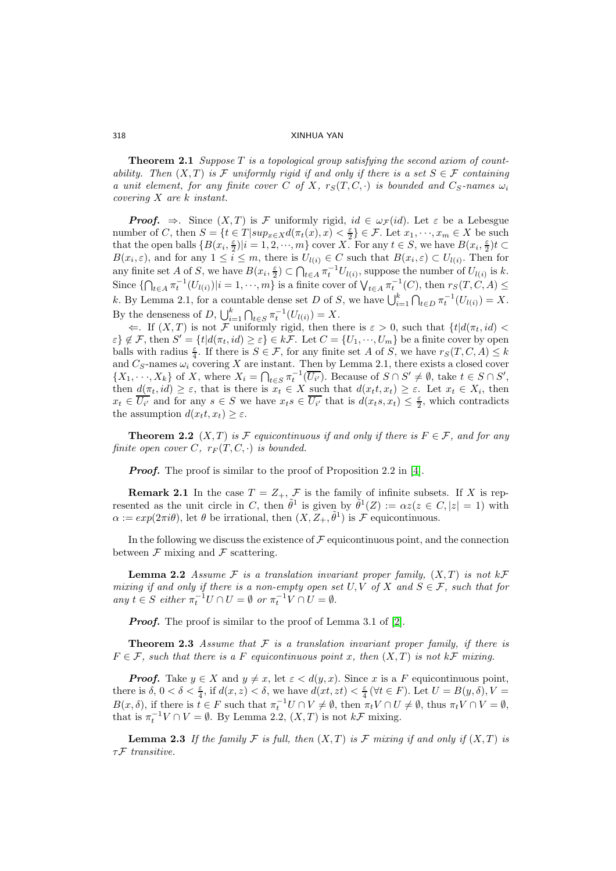318 XINHUA YAN

**Theorem 2.1** Suppose  $T$  is a topological group satisfying the second axiom of countability. Then  $(X, T)$  is F uniformly rigid if and only if there is a set  $S \in \mathcal{F}$  containing a unit element, for any finite cover C of X,  $r_S(T, C, \cdot)$  is bounded and  $C_S$ -names  $\omega_i$ covering X are k instant.

**Proof.**  $\Rightarrow$ . Since  $(X,T)$  is F uniformly rigid,  $id \in \omega_{\mathcal{F}}(id)$ . Let  $\varepsilon$  be a Lebesgue number of C, then  $S = \{t \in T | sup_{x \in X} d(\pi_t(x), x) < \frac{\varepsilon}{2} \}$  $\{\frac{\varepsilon}{2}\} \in \mathcal{F}$ . Let  $x_1, \dots, x_m \in X$  be such that the open balls  $\{B(x_i, \frac{\varepsilon}{2})\}$  $\frac{\varepsilon}{2}$ |i = 1, 2, ···, m} cover X. For any  $t \in S$ , we have  $B(x_i, \frac{\varepsilon}{2})$  $\frac{\varepsilon}{2}$ ) $t \subset$  $B(x_i, \varepsilon)$ , and for any  $1 \leq i \leq m$ , there is  $U_{l(i)} \in C$  such that  $B(x_i, \varepsilon) \subset U_{l(i)}$ . Then for any finite set A of S, we have  $B(x_i, \frac{\varepsilon}{2})$  $\frac{\varepsilon}{2}) \subset \bigcap_{t \in A} \pi_t^{-1} U_{l(i)},$  suppose the number of  $U_{l(i)}$  is k. Since  $\{\bigcap_{t\in A}\pi_t^{-1}(U_{l(i)})\big|i=1,\cdots,m\}$  is a finite cover of  $\bigvee_{t\in A}\pi_t^{-1}(C)$ , then  $r_S(T,\tilde{C},A)\leq$ k. By Lemma 2.1, for a countable dense set D of S, we have  $\bigcup_{i=1}^{k} \bigcap_{t \in D} \pi_t^{-1}(U_{l(i)}) = X$ . By the denseness of D,  $\bigcup_{i=1}^{k} \bigcap_{t \in S} \pi_t^{-1}(U_{l(i)}) = X$ .

 $\Leftarrow$ . If  $(X,T)$  is not F uniformly rigid, then there is  $\varepsilon > 0$ , such that  $\{t | d(\pi_t, id) <$  $\varepsilon$   $\xi \notin \mathcal{F}$ , then  $S' = \{t | d(\pi_t, id) \geq \varepsilon\} \in k\overline{\mathcal{F}}$ . Let  $C = \{U_1, \cdots, U_m\}$  be a finite cover by open balls with radius  $\frac{\varepsilon}{4}$ . If there is  $S \in \mathcal{F}$ , for any finite set A of S, we have  $r_S(T, C, A) \leq k$ and  $C_S$ -names  $\omega_i$  covering X are instant. Then by Lemma 2.1, there exists a closed cover  $\{X_1, \dots, X_k\}$  of X, where  $X_i = \bigcap_{t \in S} \pi_t^{-1}(\overline{U_{i'}})$ . Because of  $S \cap S' \neq \emptyset$ , take  $t \in S \cap S'$ , then  $d(\pi_t, id) \geq \varepsilon$ , that is there is  $x_t \in X$  such that  $d(x_t t, x_t) \geq \varepsilon$ . Let  $x_t \in X_i$ , then  $x_t \in \overline{U_{i'}}$  and for any  $s \in S$  we have  $x_ts \in \overline{U_{i'}}$  that is  $d(x_ts,x_t) \leq \frac{\varepsilon}{2}$  $\frac{\varepsilon}{2}$ , which contradicts the assumption  $d(x_t, x_t) \geq \varepsilon$ .

**Theorem 2.2**  $(X, T)$  is F equicontinuous if and only if there is  $F \in \mathcal{F}$ , and for any finite open cover C,  $r_F(T, C, \cdot)$  is bounded.

**Proof.** The proof is similar to the proof of Proposition 2.2 in [\[4\]](#page-4-3).

**Remark 2.1** In the case  $T = Z_+, \mathcal{F}$  is the family of infinite subsets. If X is represented as the unit circle in C, then  $\tilde{\theta}^1$  is given by  $\tilde{\theta}^1(Z) := \alpha z(z \in C, |z| = 1)$  with  $\alpha := exp(2\pi i \theta)$ , let  $\theta$  be irrational, then  $(X, \tilde{Z}_+, \tilde{\theta}^1)$  is  $\mathcal{F}$  equicontinuous.

In the following we discuss the existence of  $\mathcal F$  equicontinuous point, and the connection between  $\mathcal F$  mixing and  $\mathcal F$  scattering.

**Lemma 2.2** Assume  $\mathcal F$  is a translation invariant proper family,  $(X, T)$  is not  $k\mathcal F$ mixing if and only if there is a non-empty open set  $U, V$  of X and  $S \in \mathcal{F}$ , such that for any  $t \in S$  either  $\pi_t^{-1}U \cap U = \emptyset$  or  $\pi_t^{-1}V \cap U = \emptyset$ .

**Proof.** The proof is similar to the proof of Lemma 3.1 of [\[2\]](#page-4-4).

**Theorem 2.3** Assume that  $\mathcal F$  is a translation invariant proper family, if there is  $F \in \mathcal{F}$ , such that there is a F equicontinuous point x, then  $(X,T)$  is not  $k\mathcal{F}$  mixing.

**Proof.** Take  $y \in X$  and  $y \neq x$ , let  $\varepsilon < d(y, x)$ . Since x is a F equicontinuous point, there is  $\delta, 0 < \delta < \frac{\varepsilon}{4}$ , if  $d(x, z) < \delta$ , we have  $d(x, zt) < \frac{\varepsilon}{4}$  $\frac{\varepsilon}{4}$  ( $\forall t \in F$ ). Let  $U = B(y, \delta)$ ,  $V =$  $B(x, \delta)$ , if there is  $t \in F$  such that  $\pi_t^{-1}U \cap V \neq \emptyset$ , then  $\pi_t V \cap U \neq \emptyset$ , thus  $\pi_t V \cap V = \emptyset$ , that is  $\pi_t^{-1}V \cap V = \emptyset$ . By Lemma 2.2,  $(X,T)$  is not  $k\mathcal{F}$  mixing.

**Lemma 2.3** If the family F is full, then  $(X,T)$  is F mixing if and only if  $(X,T)$  is  $\tau \mathcal{F}$  transitive.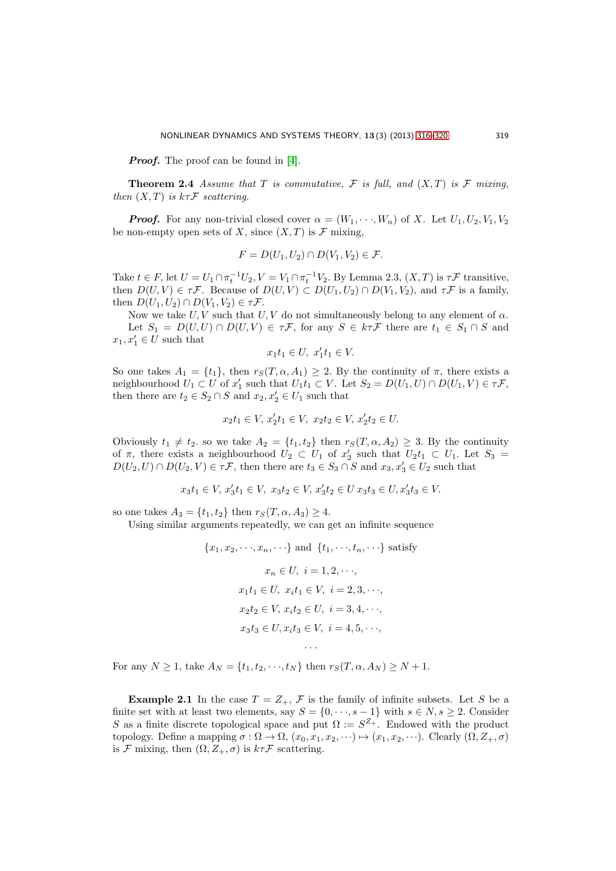**Proof.** The proof can be found in [\[4\]](#page-4-3).

**Theorem 2.4** Assume that T is commutative, F is full, and  $(X, T)$  is F mixing, then  $(X, T)$  is  $k\tau \mathcal{F}$  scattering.

**Proof.** For any non-trivial closed cover  $\alpha = (W_1, \dots, W_n)$  of X. Let  $U_1, U_2, V_1, V_2$ be non-empty open sets of X, since  $(X, T)$  is F mixing,

$$
F = D(U_1, U_2) \cap D(V_1, V_2) \in \mathcal{F}.
$$

Take  $t \in F$ , let  $U = U_1 \cap \pi_t^{-1} U_2$ ,  $V = V_1 \cap \pi_t^{-1} V_2$ . By Lemma 2.3,  $(X, T)$  is  $\tau \mathcal{F}$  transitive, then  $D(U, V) \in \tau \mathcal{F}$ . Because of  $D(U, V) \subset D(U_1, U_2) \cap D(V_1, V_2)$ , and  $\tau \mathcal{F}$  is a family, then  $D(U_1, U_2) \cap D(V_1, V_2) \in \tau \mathcal{F}$ .

Now we take U, V such that U, V do not simultaneously belong to any element of  $\alpha$ . Let  $S_1 = D(U, U) \cap D(U, V) \in \tau \mathcal{F}$ , for any  $S \in k \tau \mathcal{F}$  there are  $t_1 \in S_1 \cap S$  and  $x_1, x'_1 \in U$  such that

$$
x_1 t_1 \in U, \ x_1' t_1 \in V.
$$

So one takes  $A_1 = \{t_1\}$ , then  $r_S(T, \alpha, A_1) \geq 2$ . By the continuity of  $\pi$ , there exists a neighbourhood  $U_1 \subset U$  of  $x'_1$  such that  $U_1 t_1 \subset V$ . Let  $S_2 = D(U_1, U) \cap D(U_1, V) \in \tau \mathcal{F}$ , then there are  $t_2 \in S_2 \cap S$  and  $x_2, x'_2 \in U_1$  such that

$$
x_2t_1 \in V, x_2't_1 \in V, x_2t_2 \in V, x_2't_2 \in U.
$$

Obviously  $t_1 \neq t_2$ . so we take  $A_2 = \{t_1, t_2\}$  then  $r_S(T, \alpha, A_2) \geq 3$ . By the continuity of  $\pi$ , there exists a neighbourhood  $\tilde{U}_2 \subset U_1$  of  $x'_2$  such that  $U_2t_1 \subset U_1$ . Let  $S_3 =$  $D(U_2, U) \cap D(U_2, V) \in \tau \mathcal{F}$ , then there are  $t_3 \in S_3 \cap S$  and  $x_3, x'_3 \in U_2$  such that

$$
x_3t_1\in V,\, x_3't_1\in V,\ x_3t_2\in V,\, x_3't_2\in U\,x_3t_3\in U, x_3't_3\in V.
$$

so one takes  $A_3 = \{t_1, t_2\}$  then  $r_S(T, \alpha, A_3) \geq 4$ .

Using similar arguments repeatedly, we can get an infinite sequence

 ${x_1, x_2, \dots, x_n, \dots}$  and  ${x_1, \dots, x_n, \dots}$  satisfy  $x_n \in U, i = 1, 2, \dots$  $x_1t_1 \in U$ ,  $x_it_1 \in V$ ,  $i = 2, 3, \dots$  $x_2t_2 \in V$ ,  $x_it_2 \in U$ ,  $i = 3, 4, \dots$  $x_3t_3 \in U, x_it_3 \in V, i = 4, 5, \dots$ 

· · ·

For any  $N \ge 1$ , take  $A_N = \{t_1, t_2, \dots, t_N\}$  then  $r_S(T, \alpha, A_N) \ge N + 1$ .

**Example 2.1** In the case  $T = Z_+$ ,  $\mathcal{F}$  is the family of infinite subsets. Let S be a finite set with at least two elements, say  $S = \{0, \dots, s-1\}$  with  $s \in N, s \geq 2$ . Consider S as a finite discrete topological space and put  $\Omega := S^{Z_+}$ . Endowed with the product topology. Define a mapping  $\sigma : \Omega \to \Omega$ ,  $(x_0, x_1, x_2, \dots) \mapsto (x_1, x_2, \dots)$ . Clearly  $(\Omega, Z_+, \sigma)$ is F mixing, then  $(\Omega, Z_+, \sigma)$  is  $k\tau\mathcal{F}$  scattering.